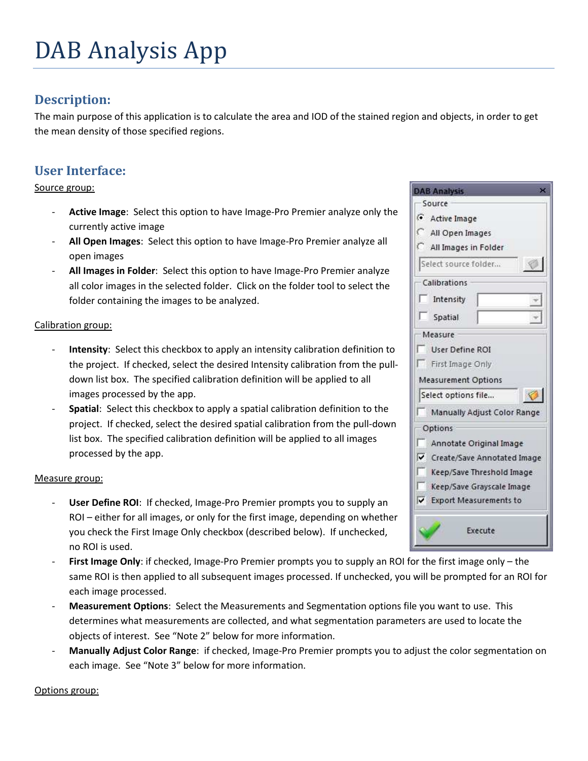# DAB Analysis App

## **Description:**

The main purpose of this application is to calculate the area and IOD of the stained region and objects, in order to get the mean density of those specified regions.

## **User Interface:**

Source group:

- **Active Image**: Select this option to have Image-Pro Premier analyze only the currently active image
- **All Open Images**: Select this option to have Image-Pro Premier analyze all open images
- **All Images in Folder**: Select this option to have Image-Pro Premier analyze all color images in the selected folder. Click on the folder tool to select the folder containing the images to be analyzed.

#### Calibration group:

- Intensity: Select this checkbox to apply an intensity calibration definition to the project. If checked, select the desired Intensity calibration from the pulldown list box. The specified calibration definition will be applied to all images processed by the app.
- **Spatial:** Select this checkbox to apply a spatial calibration definition to the project. If checked, select the desired spatial calibration from the pull-down list box. The specified calibration definition will be applied to all images processed by the app.

#### Measure group:

- User Define ROI: If checked, Image-Pro Premier prompts you to supply an ROI – either for all images, or only for the first image, depending on whether you check the First Image Only checkbox (described below). If unchecked, no ROI is used.
- First Image Only: if checked, Image-Pro Premier prompts you to supply an ROI for the first image only the same ROI is then applied to all subsequent images processed. If unchecked, you will be prompted for an ROI for each image processed.
- **Measurement Options**: Select the Measurements and Segmentation options file you want to use. This determines what measurements are collected, and what segmentation parameters are used to locate the objects of interest. See "Note 2" below for more information.
- **Manually Adjust Color Range**: if checked, Image-Pro Premier prompts you to adjust the color segmentation on each image. See "Note 3" below for more information.

Options group:

| Source                        |  |
|-------------------------------|--|
|                               |  |
| Active Image                  |  |
| All Open Images               |  |
| All Images in Folder          |  |
| Select source folder          |  |
| Calibrations                  |  |
| Intensity                     |  |
| Spatial                       |  |
| Measure                       |  |
| User Define ROI               |  |
| First Image Only              |  |
| <b>Measurement Options</b>    |  |
| Select options file           |  |
| Manually Adjust Color Range   |  |
| Options                       |  |
| Annotate Original Image       |  |
| ✔ Create/Save Annotated Image |  |
| Keep/Save Threshold Image     |  |
| Keep/Save Grayscale Image     |  |
| ✔ Export Measurements to      |  |